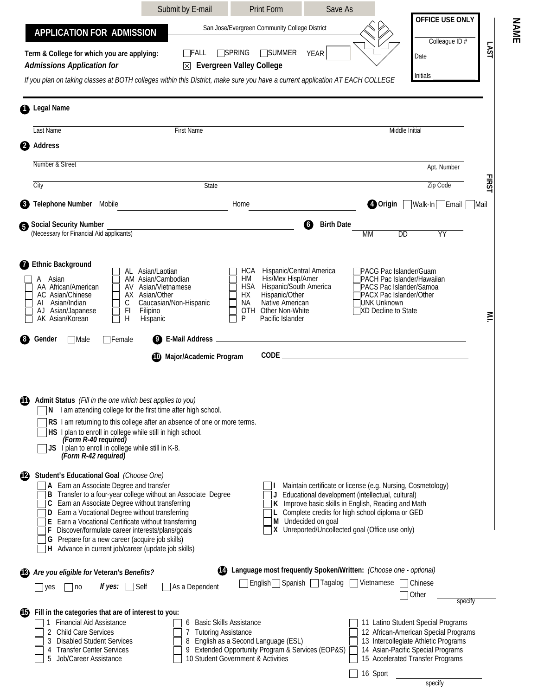|                                                                                                                                                                                                                                                                                                                                                                                                                                                                                         | Submit by E-mail                                                                                                               | <b>Print Form</b>                                                                                                                                        | Save As                                            |                                                                                                                                                                                                                                                                                |                                                                                                                                                                                             |               |
|-----------------------------------------------------------------------------------------------------------------------------------------------------------------------------------------------------------------------------------------------------------------------------------------------------------------------------------------------------------------------------------------------------------------------------------------------------------------------------------------|--------------------------------------------------------------------------------------------------------------------------------|----------------------------------------------------------------------------------------------------------------------------------------------------------|----------------------------------------------------|--------------------------------------------------------------------------------------------------------------------------------------------------------------------------------------------------------------------------------------------------------------------------------|---------------------------------------------------------------------------------------------------------------------------------------------------------------------------------------------|---------------|
| <b>APPLICATION FOR ADMISSION</b>                                                                                                                                                                                                                                                                                                                                                                                                                                                        |                                                                                                                                | San Jose/Evergreen Community College District                                                                                                            |                                                    |                                                                                                                                                                                                                                                                                | OFFICE USE ONLY                                                                                                                                                                             |               |
| Term & College for which you are applying:<br><b>Admissions Application for</b><br>If you plan on taking classes at BOTH colleges within this District, make sure you have a current application AT EACH COLLEGE                                                                                                                                                                                                                                                                        | $\Box$ FALL<br>冈                                                                                                               | <b>TSPRING</b><br><b>SUMMER</b><br><b>Evergreen Valley College</b>                                                                                       | <b>YEAR</b>                                        |                                                                                                                                                                                                                                                                                | Colleague ID#<br>Date<br>Initials                                                                                                                                                           | LSVT          |
| <b>Legal Name</b>                                                                                                                                                                                                                                                                                                                                                                                                                                                                       |                                                                                                                                |                                                                                                                                                          |                                                    |                                                                                                                                                                                                                                                                                |                                                                                                                                                                                             |               |
| Last Name                                                                                                                                                                                                                                                                                                                                                                                                                                                                               | First Name                                                                                                                     |                                                                                                                                                          |                                                    | Middle Initial                                                                                                                                                                                                                                                                 |                                                                                                                                                                                             |               |
| Address                                                                                                                                                                                                                                                                                                                                                                                                                                                                                 |                                                                                                                                |                                                                                                                                                          |                                                    |                                                                                                                                                                                                                                                                                |                                                                                                                                                                                             |               |
| Number & Street                                                                                                                                                                                                                                                                                                                                                                                                                                                                         |                                                                                                                                |                                                                                                                                                          |                                                    |                                                                                                                                                                                                                                                                                | Apt. Number                                                                                                                                                                                 |               |
| City                                                                                                                                                                                                                                                                                                                                                                                                                                                                                    | State                                                                                                                          |                                                                                                                                                          |                                                    |                                                                                                                                                                                                                                                                                | <b>Zip Code</b>                                                                                                                                                                             | <b>FIRSST</b> |
| Telephone Number Mobile                                                                                                                                                                                                                                                                                                                                                                                                                                                                 |                                                                                                                                | Home                                                                                                                                                     |                                                    | <b>O</b> Origin                                                                                                                                                                                                                                                                | Nalk-In <sub>D</sub> Email                                                                                                                                                                  | Mail          |
| Social Security Number<br>(Necessary for Financial Aid applicants)                                                                                                                                                                                                                                                                                                                                                                                                                      |                                                                                                                                |                                                                                                                                                          | <b>Birth Date</b><br>$\overline{6}$                | $\overline{DD}$<br><b>MM</b>                                                                                                                                                                                                                                                   | $\overline{YY}$                                                                                                                                                                             |               |
| <b>Ethnic Background</b><br>A Asian<br>AA African/American<br>AV<br>AC Asian/Chinese<br>Asian/Indian<br>С<br>AL<br>F <sub>l</sub><br>AJ Asian/Japanese<br>$\boldsymbol{\mathsf{H}}$<br>AK Asian/Korean                                                                                                                                                                                                                                                                                  | AL Asian/Laotian<br>AM Asian/Cambodian<br>Asian/Vietnamese<br>AX Asian/Other<br>Caucasian/Non-Hispanic<br>Filipino<br>Hispanic | <b>HCA</b><br>His/Mex Hisp/Amer<br>HM<br><b>HSA</b><br>Hispanic/Other<br>HX<br>Native American<br>NA.<br>Other Non-White<br>0TH<br>P<br>Pacific Islander | Hispanic/Central America<br>Hispanic/South America | <b>TPACG Pac Islander/Guam</b><br>TPACH Pac Islander/Hawaiian<br>PACS Pac Islander/Samoa<br><b>JPACX Pac Islander/Other</b><br>IUNK Unknown<br>XD Decline to State                                                                                                             |                                                                                                                                                                                             | $\leq$        |
| $\Box$ Female<br>Gender<br>  Male                                                                                                                                                                                                                                                                                                                                                                                                                                                       |                                                                                                                                |                                                                                                                                                          |                                                    |                                                                                                                                                                                                                                                                                |                                                                                                                                                                                             |               |
| Admit Status (Fill in the one which best applies to you)<br>N I am attending college for the first time after high school.<br>RS I am returning to this college after an absence of one or more terms.<br>HS I plan to enroll in college while still in high school.<br>(Form R-40 required)<br>JS I plan to enroll in college while still in K-8.<br>(Form R-42 required)                                                                                                              | Major/Academic Program                                                                                                         |                                                                                                                                                          |                                                    |                                                                                                                                                                                                                                                                                | $\boxed{\blacksquare}$                                                                                                                                                                      |               |
| Student's Educational Goal (Choose One)<br>42)<br>A Earn an Associate Degree and transfer<br>B Transfer to a four-year college without an Associate Degree<br>C Earn an Associate Degree without transferring<br>D Earn a Vocational Degree without transferring<br>E Earn a Vocational Certificate without transferring<br>F Discover/formulate career interests/plans/goals<br>G Prepare for a new career (acquire job skills)<br>H Advance in current job/career (update job skills) |                                                                                                                                |                                                                                                                                                          | M Undecided on goal                                | Maintain certificate or license (e.g. Nursing, Cosmetology)<br>Educational development (intellectual, cultural)<br>K Improve basic skills in English, Reading and Math<br>L Complete credits for high school diploma or GED<br>X Unreported/Uncollected goal (Office use only) |                                                                                                                                                                                             |               |
| Are you eligible for Veteran's Benefits?<br>If yes: $\Box$ Self<br>  no<br> yes                                                                                                                                                                                                                                                                                                                                                                                                         | As a Dependent                                                                                                                 | (2) Language most frequently Spoken/Written: (Choose one - optional)                                                                                     | English Spanish   Tagalog   Vietnamese             |                                                                                                                                                                                                                                                                                | Chinese<br>Other<br>specify                                                                                                                                                                 |               |
| Fill in the categories that are of interest to you:<br>űЬ<br><b>Financial Aid Assistance</b><br>Child Care Services<br><b>Disabled Student Services</b><br><b>Transfer Center Services</b><br>4<br>Job/Career Assistance<br>5                                                                                                                                                                                                                                                           | <b>Basic Skills Assistance</b><br><b>Tutoring Assistance</b><br>8                                                              | English as a Second Language (ESL)<br>9 Extended Opportunity Program & Services (EOP&S)<br>10 Student Government & Activities                            |                                                    | 16 Sport                                                                                                                                                                                                                                                                       | 11 Latino Student Special Programs<br>12 African-American Special Programs<br>13 Intercollegiate Athletic Programs<br>14 Asian-Pacific Special Programs<br>15 Accelerated Transfer Programs |               |
|                                                                                                                                                                                                                                                                                                                                                                                                                                                                                         |                                                                                                                                |                                                                                                                                                          |                                                    |                                                                                                                                                                                                                                                                                | specify                                                                                                                                                                                     |               |

**NAME**